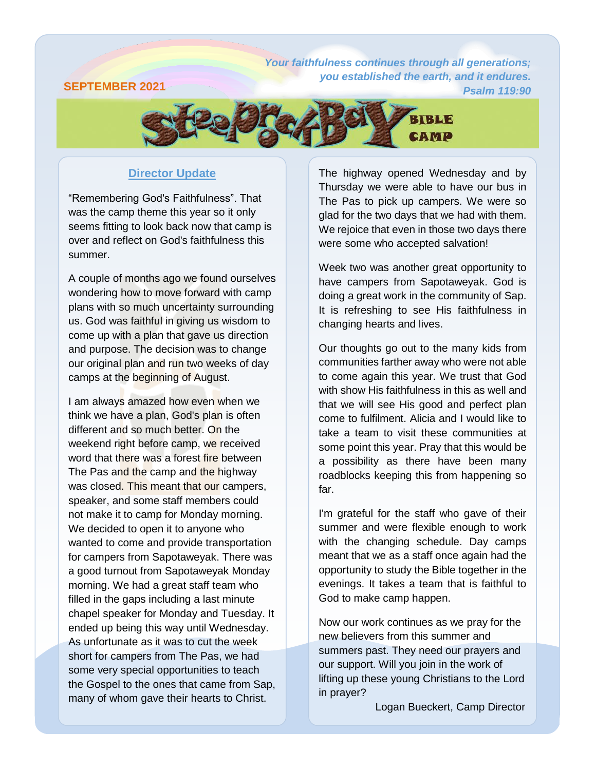## **SEPTEMBER 2021**

*Your faithfulness [continues through all generations;](https://attachment.outlook.live.net/owa/babrahamson@mymts.net/service.svc/s/GetAttachmentThumbnail?id=AQMkADAwATMwMAItOTYzNy03OWU5LTAwAi0wMAoARgAAAziNM9N2L7ZHj3UzkGlxZT4HADs%2BxeWW398AToarRDhoYRQuAAACAQ8AAADyWj1tZ4piR57gYxshuowtAAIM17wLAAAAARIAEACu0uWWjNymRIGUZy6IaWP6&thumbnailType=2&owa=outlook.live.com&scriptVer=2019081802.10&isc=1&X-OWA-CANARY=9eEvL0U8_Emj3b20LgV7oHAYdLyyLNcYDeHfE4yJtIa4bSeUSCh5jKYPfE-d5S5e9uqqTwkZn-0.&token=eyJhbGciOiJSUzI1NiIsImtpZCI6IjA2MDBGOUY2NzQ2MjA3MzdFNzM0MDRFMjg3QzQ1QTgxOENCN0NFQjgiLCJ4NXQiOiJCZ0Q1OW5SaUJ6Zm5OQVRpaDhSYWdZeTN6cmciLCJ0eXAiOiJKV1QifQ.eyJvcmlnaW4iOiJodHRwczovL291dGxvb2subGl2ZS5jb20iLCJ2ZXIiOiJFeGNoYW5nZS5DYWxsYmFjay5WMSIsImFwcGN0eHNlbmRlciI6Ik93YURvd25sb2FkQDg0ZGY5ZTdmLWU5ZjYtNDBhZi1iNDM1LWFhYWFhYWFhYWFhYSIsImFwcGN0eCI6IntcIm1zZXhjaHByb3RcIjpcIm93YVwiLFwicHJpbWFyeXNpZFwiOlwiUy0xLTI4MjctMTk2NjA4LTI1MjAyMTgwODlcIixcInB1aWRcIjpcIjg0NDQyNzQ1MDM1MDA1N1wiLFwib2lkXCI6XCIwMDAzMDAwMC05NjM3LTc5ZTktMDAwMC0wMDAwMDAwMDAwMDBcIixcInNjb3BlXCI6XCJPd2FEb3dubG9hZFwifSIsIm5iZiI6MTU2NzEwNDc4MSwiZXhwIjoxNTY3MTA1MzgxLCJpc3MiOiIwMDAwMDAwMi0wMDAwLTBmZjEtY2UwMC0wMDAwMDAwMDAwMDBAODRkZjllN2YtZTlmNi00MGFmLWI0MzUtYWFhYWFhYWFhYWFhIiwiYXVkIjoiMDAwMDAwMDItMDAwMC0wZmYxLWNlMDAtMDAwMDAwMDAwMDAwL2F0dGFjaG1lbnQub3V0bG9vay5saXZlLm5ldEA4NGRmOWU3Zi1lOWY2LTQwYWYtYjQzNS1hYWFhYWFhYWFhYWEifQ.fXq2H_jpuLAZAqTydeaRpapUiJho6SVXEOWYsaEFgmIWZySBwRk2sl6dLqTZ-MgYfDrMPhJu0PFMd6yYrc0cjv0JQzTTALqsTVUyTLSVQP0FVZpv_l1l_mEacv-e4qc3iSNSQ6y9L92cDxUEu8OaVB99Lga-cJKvgv57p3cwpNE35YVu8GeD0WKy9eKve6x6xgNaSNZTsiAPiX9XTk6iJl3Kfe1BM4lGYO5eL_7ShNszQ7UAjMIMdRSR2iYmxrf3reurvYxkWfvf6nDuluQ0c5S27Q2ZZQ_1QmEABrdG-kzKhOd7xexImI8LAIdfNKJ84yRfNecKLweOdH06tBUEPQ&animation=true) you established the earth, and it endures. Psalm 119:90*



### **Director Update**

"Remembering God's Faithfulness". That was the camp theme this year so it only seems fitting to look back now that camp is over and reflect on God's faithfulness this summer.

A couple of months ago we found ourselves wondering how to move forward with camp plans with so much uncertainty surrounding us. God was faithful in giving us wisdom to come up with a plan that gave us direction and purpose. The decision was to change our original plan and run two weeks of day camps at the beginning of August.

I am always amazed how even when we think we have a plan, God's plan is often different and so much better. On the weekend right before camp, we received word that there was a forest fire between The Pas and the camp and the highway was closed. This meant that our campers, speaker, and some staff members could not make it to camp for Monday morning. We decided to open it to anyone who wanted to come and provide transportation for campers from Sapotaweyak. There was a good turnout from Sapotaweyak Monday morning. We had a great staff team who filled in the gaps including a last minute chapel speaker for Monday and Tuesday. It ended up being this way until Wednesday. As unfortunate as it was to cut the week short for campers from The Pas, we had some very special opportunities to teach the Gospel to the ones that came from Sap, many of whom gave their hearts to Christ.

The highway opened Wednesday and by Thursday we were able to have our bus in The Pas to pick up campers. We were so glad for the two days that we had with them. We rejoice that even in those two days there were some who accepted salvation!

Week two was another great opportunity to have campers from Sapotaweyak. God is doing a great work in the community of Sap. It is refreshing to see His faithfulness in changing hearts and lives.

Our thoughts go out to the many kids from communities farther away who were not able to come again this year. We trust that God with show His faithfulness in this as well and that we will see His good and perfect plan come to fulfilment. Alicia and I would like to take a team to visit these communities at some point this year. Pray that this would be a possibility as there have been many roadblocks keeping this from happening so far.

I'm grateful for the staff who gave of their summer and were flexible enough to work with the changing schedule. Day camps meant that we as a staff once again had the opportunity to study the Bible together in the evenings. It takes a team that is faithful to God to make camp happen.

Now our work continues as we pray for the new believers from this summer and summers past. They need our prayers and our support. Will you join in the work of lifting up these young Christians to the Lord in prayer?

Logan Bueckert, Camp Director